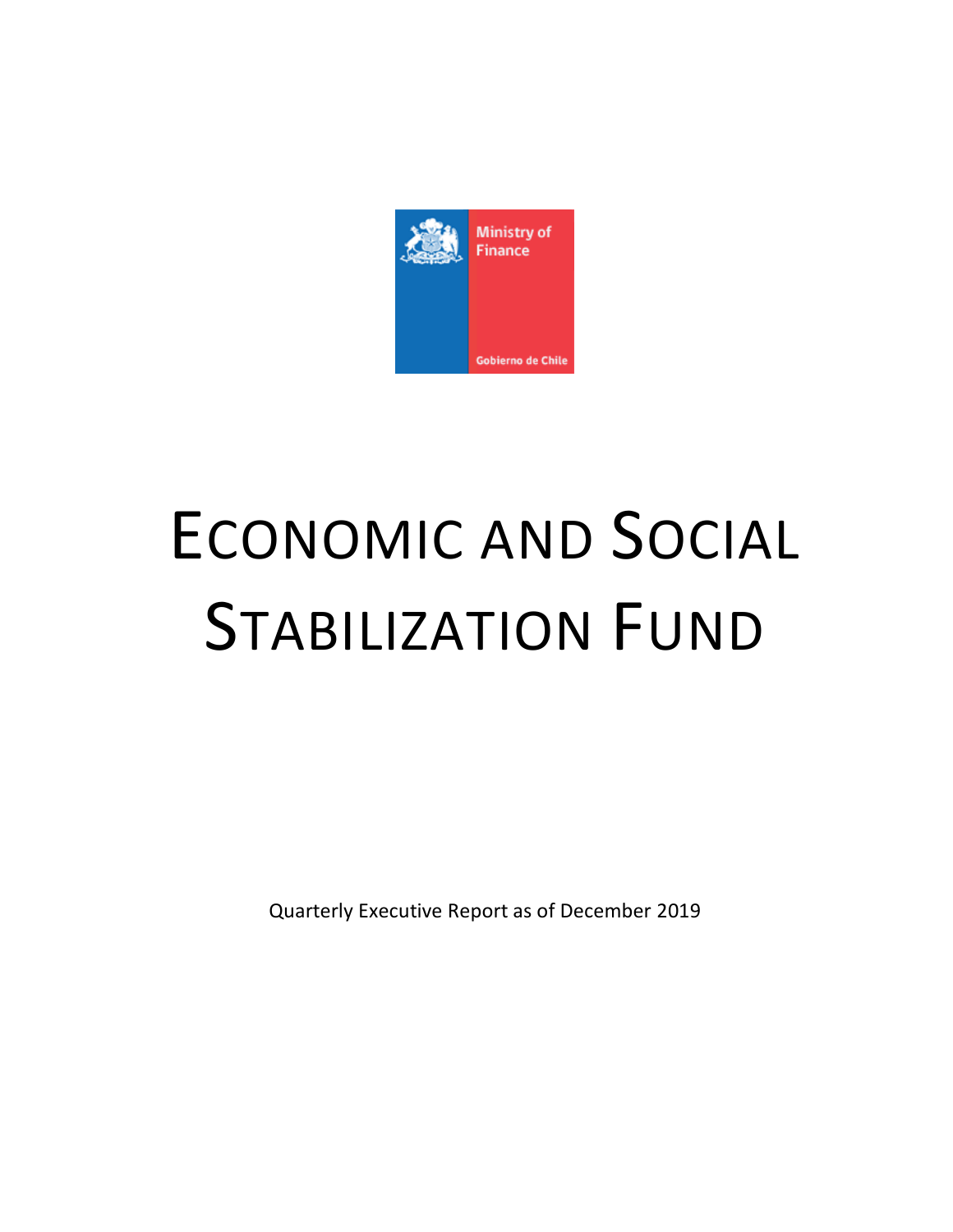

# ECONOMIC AND SOCIAL STABILIZATION FUND

Quarterly Executive Report as of December 2019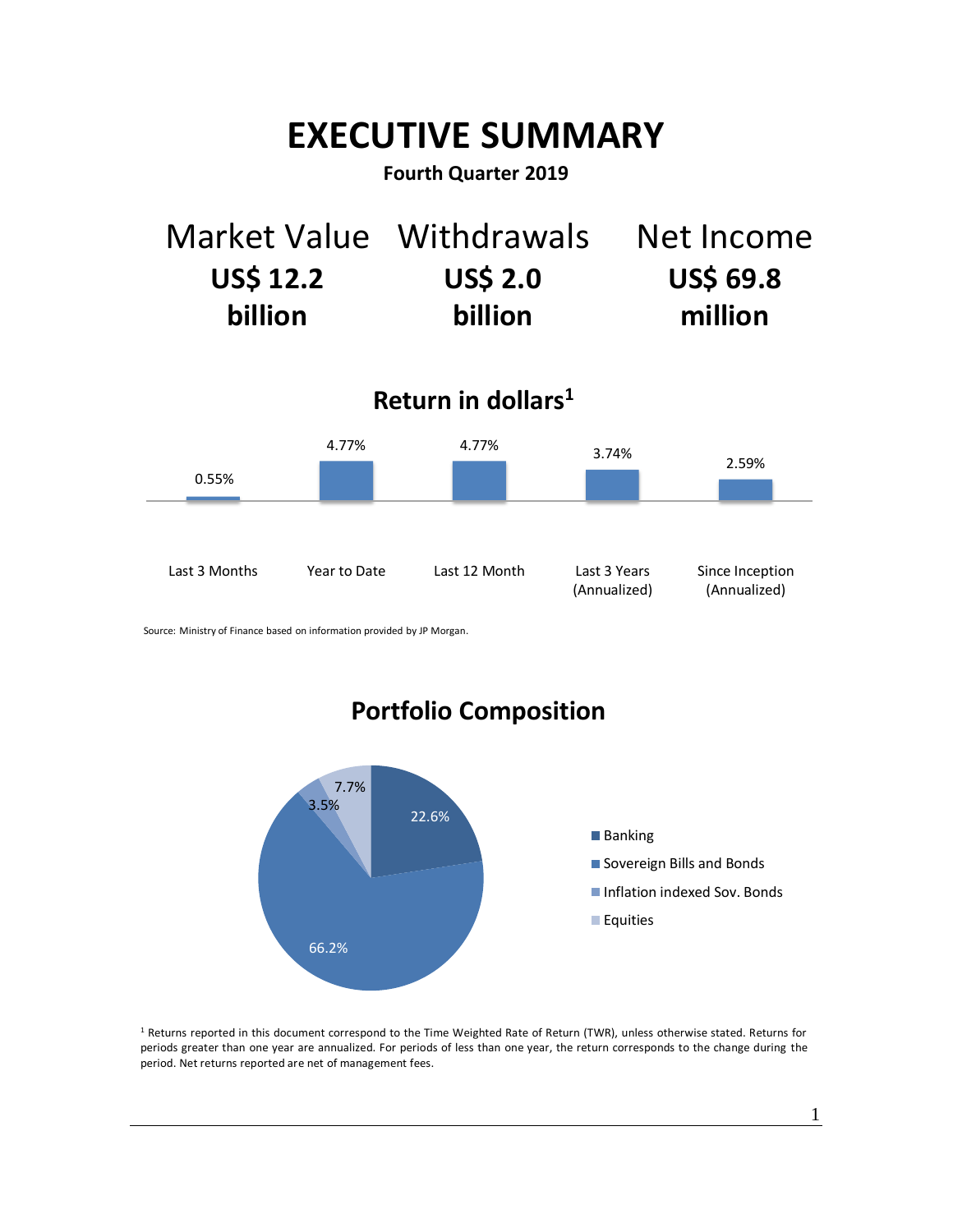## **EXECUTIVE SUMMARY**

## **Fourth Quarter 2019**

| Market Value Withdrawals |                 | Net Income       |
|--------------------------|-----------------|------------------|
| <b>US\$ 12.2</b>         | <b>US\$ 2.0</b> | <b>US\$ 69.8</b> |
| billion                  | billion         | million          |

**Return in dollars<sup>1</sup>**



Source: Ministry of Finance based on information provided by JP Morgan.



<sup>1</sup> Returns reported in this document correspond to the Time Weighted Rate of Return (TWR), unless otherwise stated. Returns for periods greater than one year are annualized. For periods of less than one year, the return corresponds to the change during the period. Net returns reported are net of management fees.

1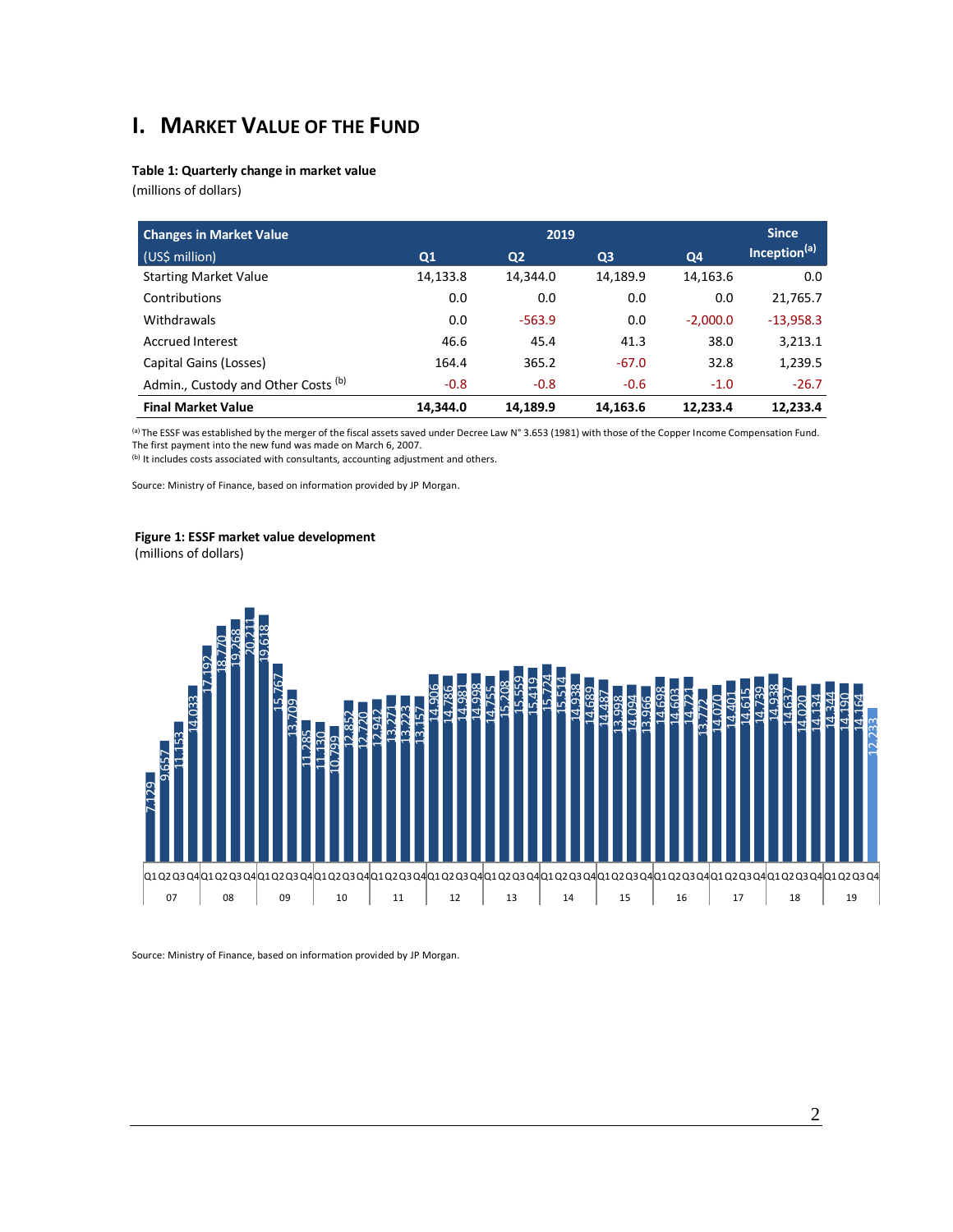## **I. MARKET VALUE OF THE FUND**

#### **Table 1: Quarterly change in market value**

(millions of dollars)

| <b>Changes in Market Value</b>                 | 2019           |                |                | <b>Since</b> |                          |
|------------------------------------------------|----------------|----------------|----------------|--------------|--------------------------|
| (US\$ million)                                 | Q <sub>1</sub> | Q <sub>2</sub> | Q <sub>3</sub> | Q4           | Inception <sup>(a)</sup> |
| <b>Starting Market Value</b>                   | 14,133.8       | 14,344.0       | 14,189.9       | 14,163.6     | 0.0                      |
| Contributions                                  | 0.0            | 0.0            | 0.0            | 0.0          | 21,765.7                 |
| Withdrawals                                    | 0.0            | $-563.9$       | 0.0            | $-2.000.0$   | $-13,958.3$              |
| <b>Accrued Interest</b>                        | 46.6           | 45.4           | 41.3           | 38.0         | 3,213.1                  |
| Capital Gains (Losses)                         | 164.4          | 365.2          | $-67.0$        | 32.8         | 1,239.5                  |
| Admin., Custody and Other Costs <sup>(b)</sup> | $-0.8$         | $-0.8$         | $-0.6$         | $-1.0$       | $-26.7$                  |
| <b>Final Market Value</b>                      | 14,344.0       | 14,189.9       | 14,163.6       | 12.233.4     | 12,233.4                 |

(a) The ESSF was established by the merger of the fiscal assets saved under Decree Law N° 3.653 (1981) with those of the Copper Income Compensation Fund. The first payment into the new fund was made on March 6, 2007.

(b) It includes costs associated with consultants, accounting adjustment and others.

Source: Ministry of Finance, based on information provided by JP Morgan.

#### **Figure 1: ESSF market value development**

(millions of dollars)

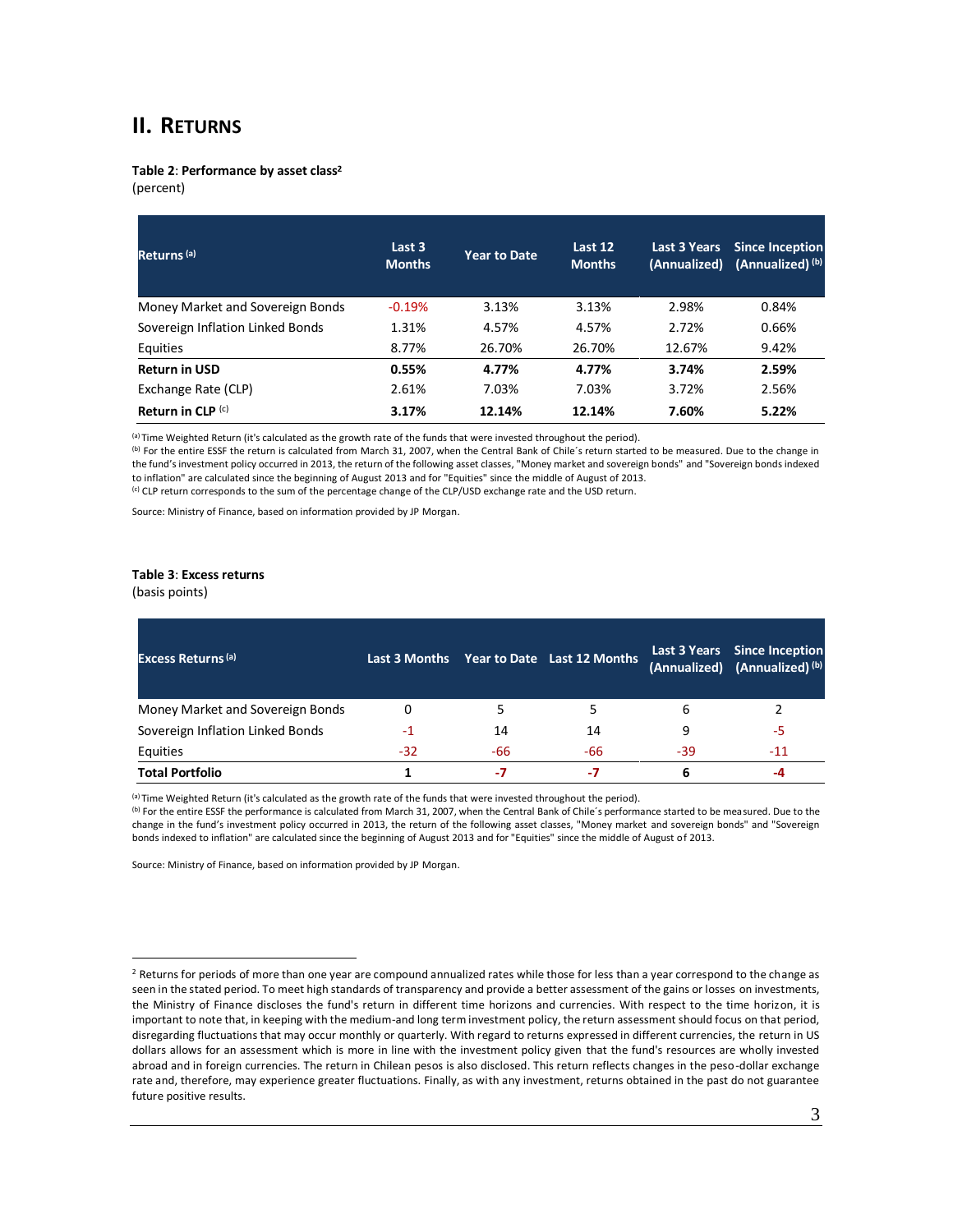### **II. RETURNS**

**Table 2**: **Performance by asset class<sup>2</sup>**

(percent)

| Returns <sup>(a)</sup>           | Last 3<br><b>Months</b> | <b>Year to Date</b> | Last 12<br><b>Months</b> | <b>Last 3 Years</b><br>(Annualized) | <b>Since Inception</b><br>(Annualized) <sup>(b)</sup> |
|----------------------------------|-------------------------|---------------------|--------------------------|-------------------------------------|-------------------------------------------------------|
| Money Market and Sovereign Bonds | $-0.19%$                | 3.13%               | 3.13%                    | 2.98%                               | 0.84%                                                 |
| Sovereign Inflation Linked Bonds | 1.31%                   | 4.57%               | 4.57%                    | 2.72%                               | 0.66%                                                 |
| Equities                         | 8.77%                   | 26.70%              | 26.70%                   | 12.67%                              | 9.42%                                                 |
| <b>Return in USD</b>             | 0.55%                   | 4.77%               | 4.77%                    | 3.74%                               | 2.59%                                                 |
| Exchange Rate (CLP)              | 2.61%                   | 7.03%               | 7.03%                    | 3.72%                               | 2.56%                                                 |
| Return in CLP $(c)$              | 3.17%                   | 12.14%              | 12.14%                   | 7.60%                               | 5.22%                                                 |

(a) Time Weighted Return (it's calculated as the growth rate of the funds that were invested throughout the period).

(b) For the entire ESSF the return is calculated from March 31, 2007, when the Central Bank of Chile's return started to be measured. Due to the change in the fund's investment policy occurred in 2013, the return of the following asset classes, "Money market and sovereign bonds" and "Sovereign bonds indexed to inflation" are calculated since the beginning of August 2013 and for "Equities" since the middle of August of 2013. (c) CLP return corresponds to the sum of the percentage change of the CLP/USD exchange rate and the USD return.

Source: Ministry of Finance, based on information provided by JP Morgan.

#### **Table 3**: **Excess returns**

(basis points)

| <b>Excess Returns (a)</b>        |       |     | Last 3 Months Year to Date Last 12 Months |     | Last 3 Years Since Inception<br>(Annualized) (Annualized) (b) |
|----------------------------------|-------|-----|-------------------------------------------|-----|---------------------------------------------------------------|
| Money Market and Sovereign Bonds | 0     |     |                                           | ь   |                                                               |
| Sovereign Inflation Linked Bonds | -1    | 14  | 14                                        | q   | -5                                                            |
| Equities                         | $-32$ | -66 | -66                                       | -39 | $-11$                                                         |
| <b>Total Portfolio</b>           |       | -7  | -7                                        | 6   |                                                               |

(a) Time Weighted Return (it's calculated as the growth rate of the funds that were invested throughout the period).

(b) For the entire ESSF the performance is calculated from March 31, 2007, when the Central Bank of Chile´s performance started to be measured. Due to the change in the fund's investment policy occurred in 2013, the return of the following asset classes, "Money market and sovereign bonds" and "Sovereign bonds indexed to inflation" are calculated since the beginning of August 2013 and for "Equities" since the middle of August of 2013.

<sup>&</sup>lt;sup>2</sup> Returns for periods of more than one year are compound annualized rates while those for less than a year correspond to the change as seen in the stated period. To meet high standards of transparency and provide a better assessment of the gains or losses on investments, the Ministry of Finance discloses the fund's return in different time horizons and currencies. With respect to the time horizon, it is important to note that, in keeping with the medium-and long term investment policy, the return assessment should focus on that period, disregarding fluctuations that may occur monthly or quarterly. With regard to returns expressed in different currencies, the return in US dollars allows for an assessment which is more in line with the investment policy given that the fund's resources are wholly invested abroad and in foreign currencies. The return in Chilean pesos is also disclosed. This return reflects changes in the peso-dollar exchange rate and, therefore, may experience greater fluctuations. Finally, as with any investment, returns obtained in the past do not guarantee future positive results.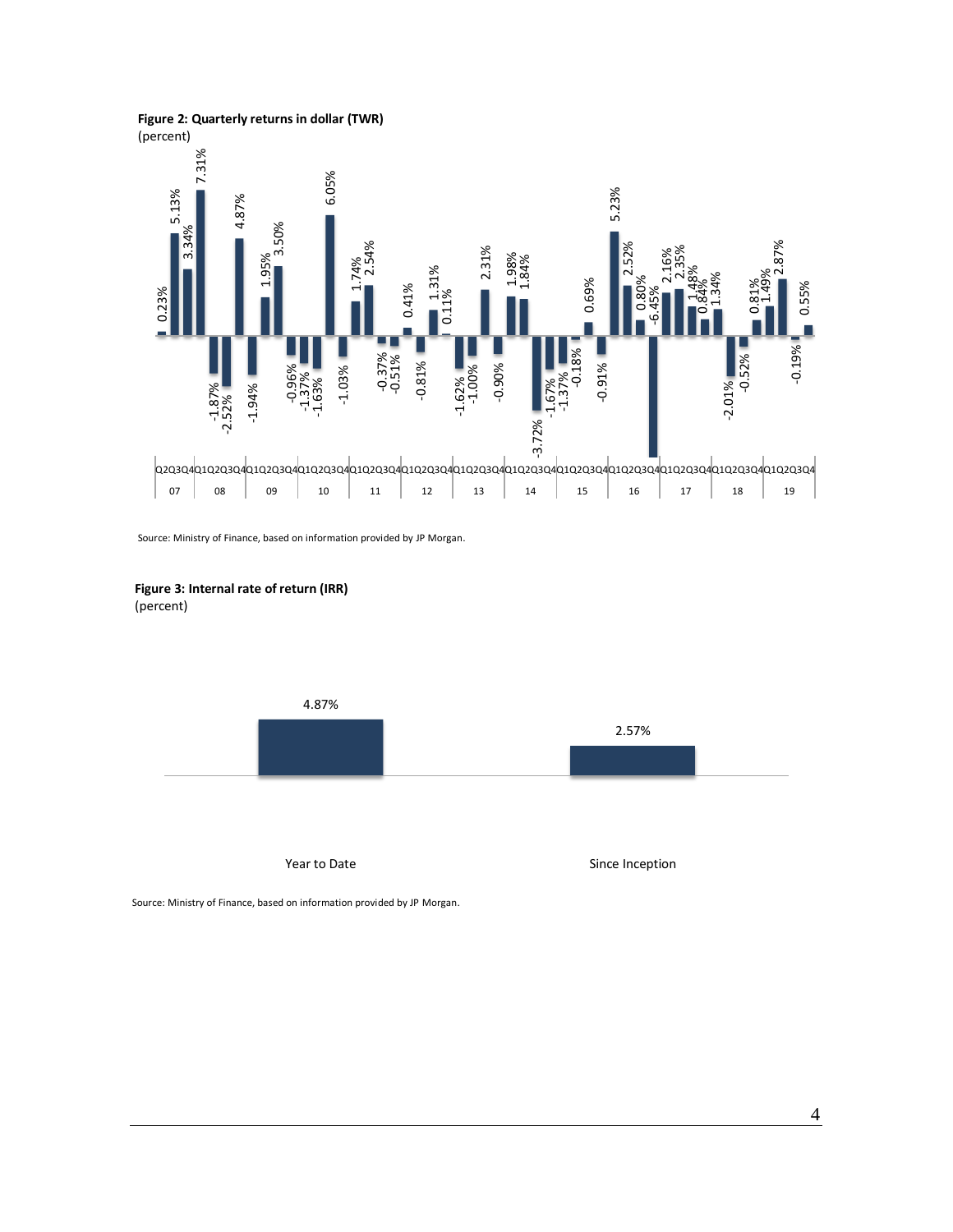#### **Figure 2: Quarterly returns in dollar (TWR)**

(percent)







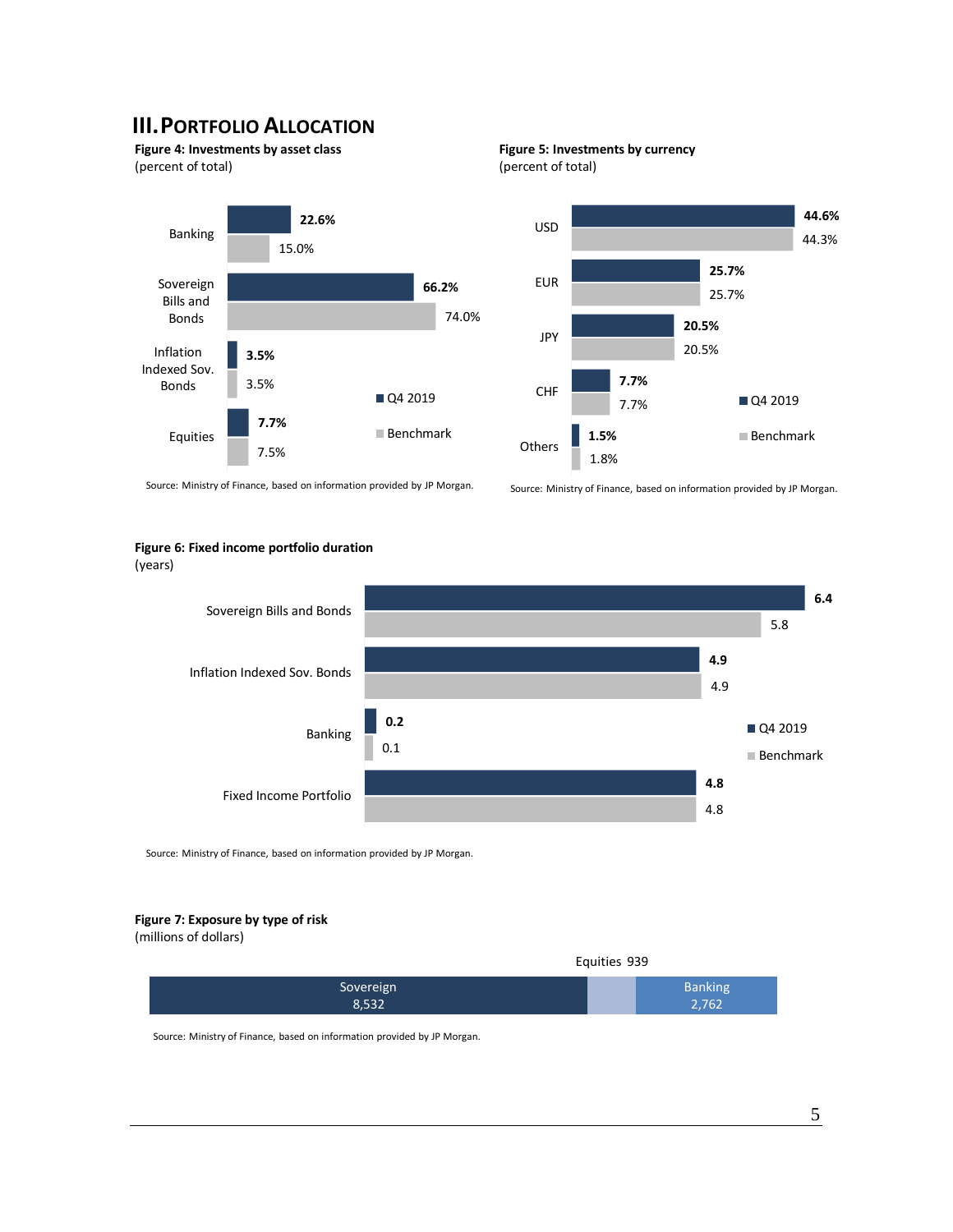## **III.PORTFOLIO ALLOCATION**

**Figure 4: Investments by asset class** (percent of total)







Source: Ministry of Finance, based on information provided by JP Morgan.

Source: Ministry of Finance, based on information provided by JP Morgan.

#### **Figure 6: Fixed income portfolio duration**

(years)



Source: Ministry of Finance, based on information provided by JP Morgan.

#### **Figure 7: Exposure by type of risk**

(millions of dollars)

|           | Equities 939   |  |
|-----------|----------------|--|
| Sovereign | <b>Banking</b> |  |
| 8,532     | 2,762          |  |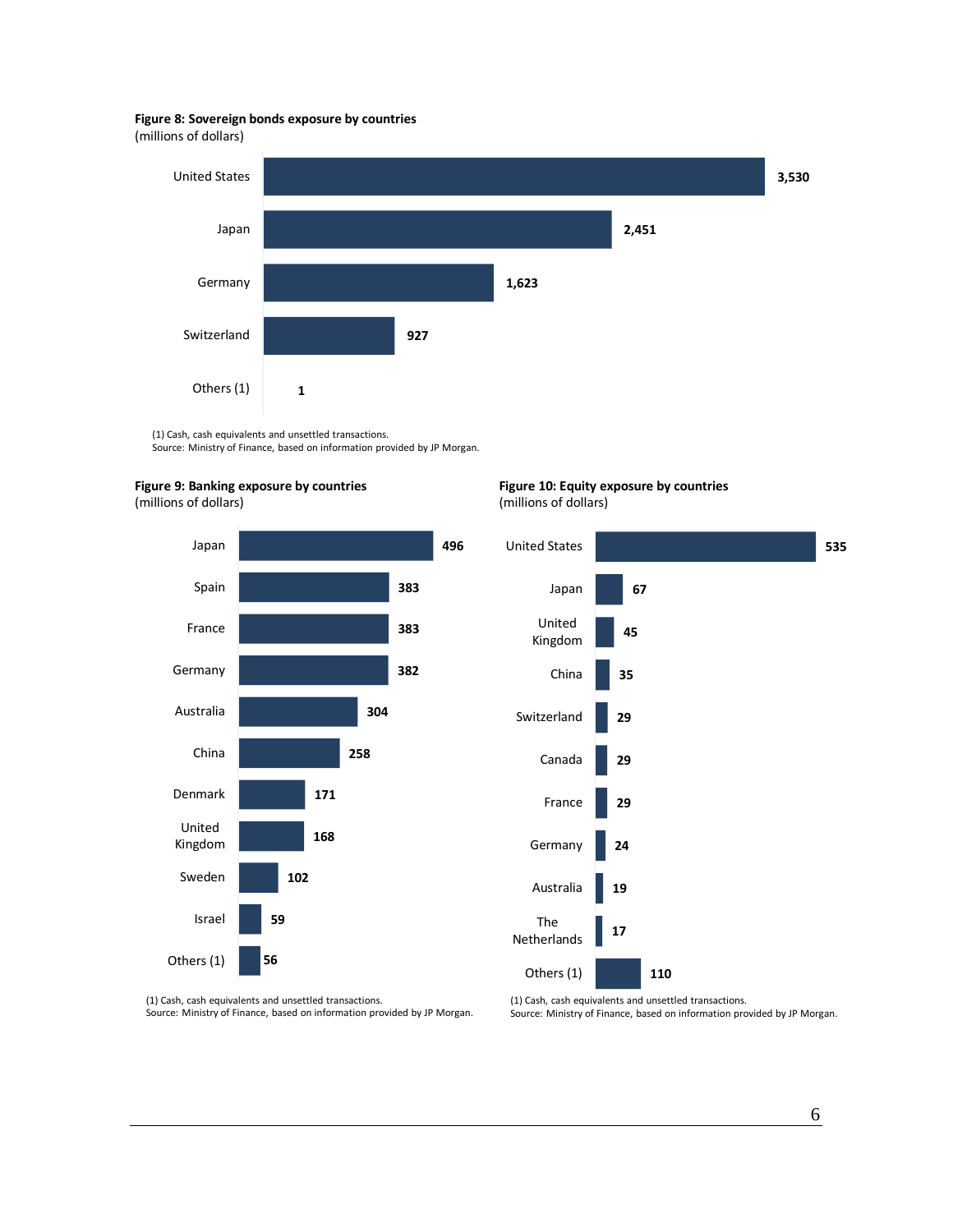#### **Figure 8: Sovereign bonds exposure by countries**

(millions of dollars)



(1) Cash, cash equivalents and unsettled transactions. Source: Ministry of Finance, based on information provided by JP Morgan.







**Figure 10: Equity exposure by countries** (millions of dollars)



(1) Cash, cash equivalents and unsettled transactions. Source: Ministry of Finance, based on information provided by JP Morgan. (1) Cash, cash equivalents and unsettled transactions. Source: Ministry of Finance, based on information provided by JP Morgan.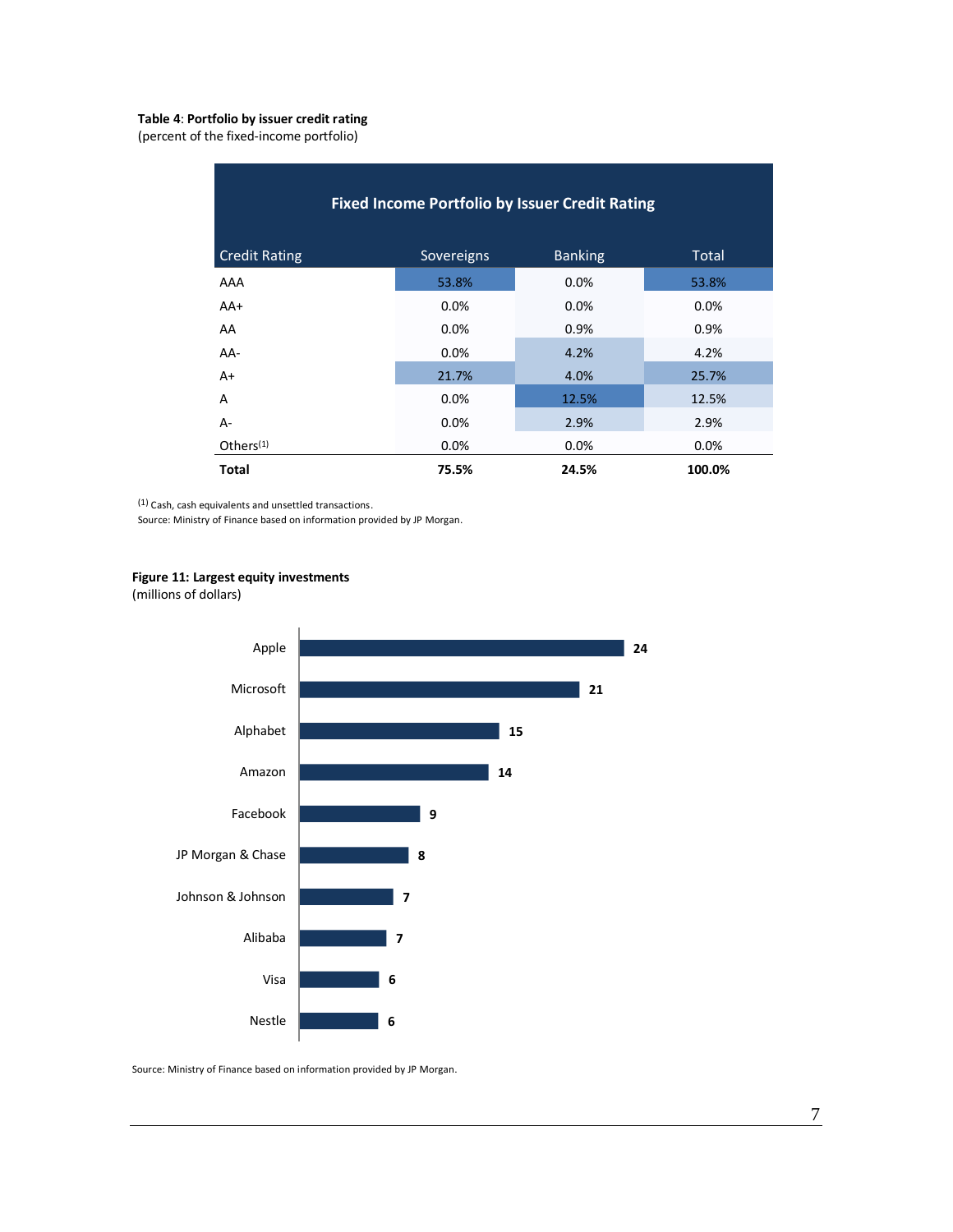#### **Table 4**: **Portfolio by issuer credit rating**

(percent of the fixed-income portfolio)

| <b>Fixed Income Portfolio by Issuer Credit Rating</b> |            |                |              |  |
|-------------------------------------------------------|------------|----------------|--------------|--|
| <b>Credit Rating</b>                                  | Sovereigns | <b>Banking</b> | <b>Total</b> |  |
| AAA                                                   | 53.8%      | 0.0%           | 53.8%        |  |
| $AA+$                                                 | 0.0%       | $0.0\%$        | 0.0%         |  |
| AA                                                    | 0.0%       | 0.9%           | 0.9%         |  |
| AA-                                                   | 0.0%       | 4.2%           | 4.2%         |  |
| $A+$                                                  | 21.7%      | 4.0%           | 25.7%        |  |
| A                                                     | 0.0%       | 12.5%          | 12.5%        |  |
| $A -$                                                 | 0.0%       | 2.9%           | 2.9%         |  |
| Others $(1)$                                          | 0.0%       | $0.0\%$        | 0.0%         |  |
| <b>Total</b>                                          | 75.5%      | 24.5%          | 100.0%       |  |

(1) Cash, cash equivalents and unsettled transactions.

Source: Ministry of Finance based on information provided by JP Morgan.

#### **Figure 11: Largest equity investments**

(millions of dollars)

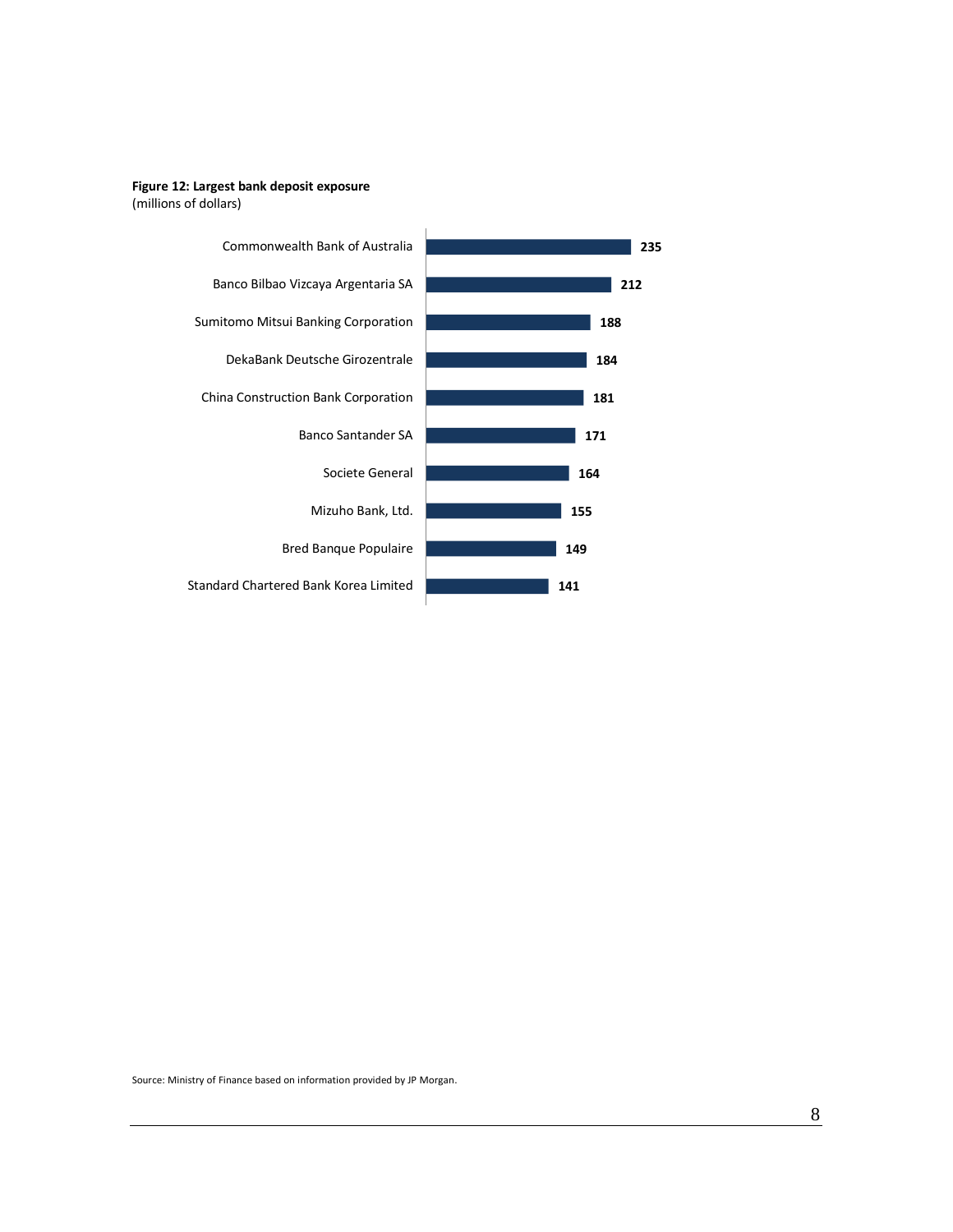#### **Figure 12: Largest bank deposit exposure** (millions of dollars)

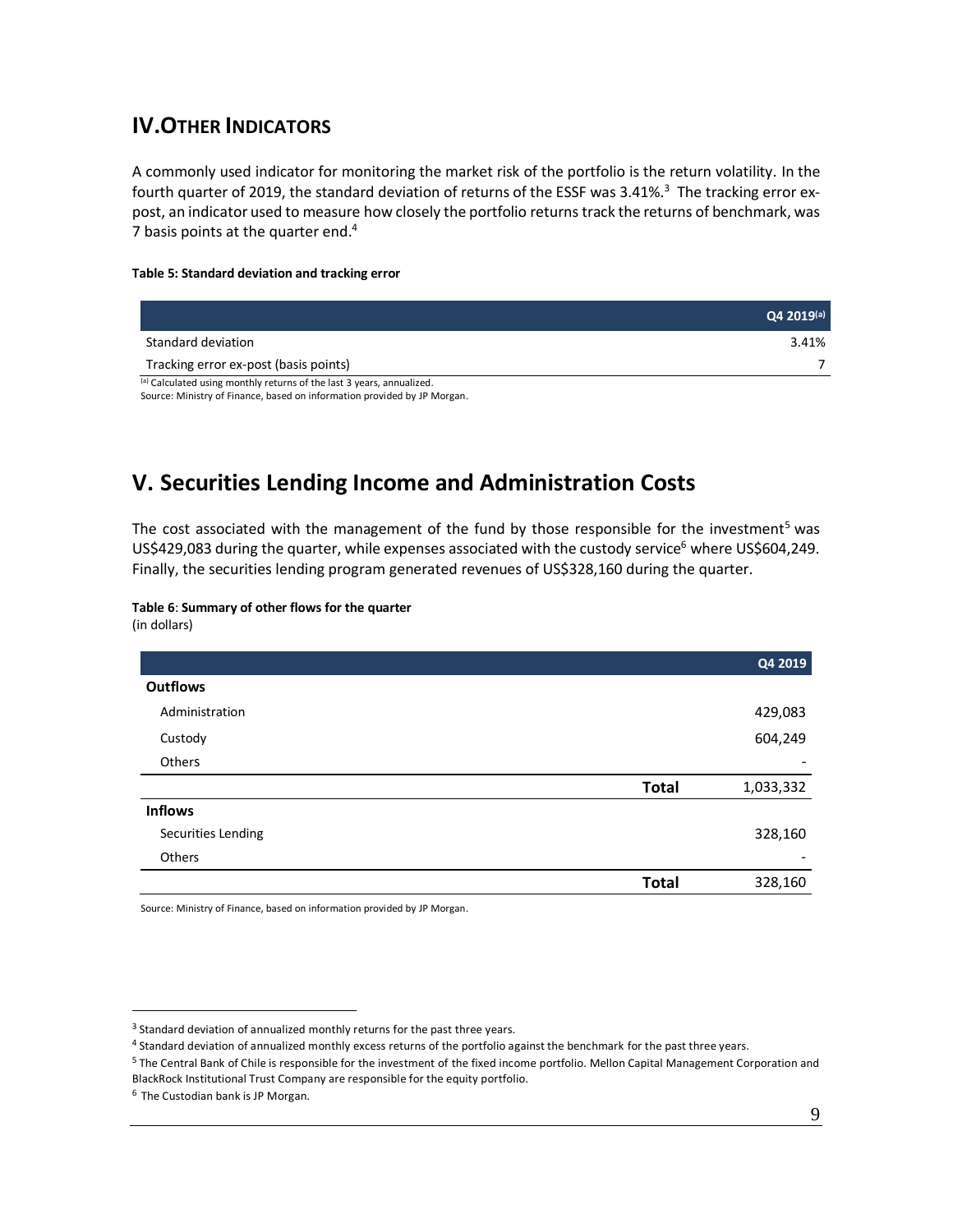## **IV.OTHER INDICATORS**

A commonly used indicator for monitoring the market risk of the portfolio is the return volatility. In the fourth quarter of 2019, the standard deviation of returns of the ESSF was 3.41%.<sup>3</sup> The tracking error expost, an indicator used to measure how closely the portfolio returns track the returns of benchmark, was 7 basis points at the quarter end.<sup>4</sup>

#### **Table 5: Standard deviation and tracking error**

|                                                                       | $Q4 2019^{(a)}$ |
|-----------------------------------------------------------------------|-----------------|
| Standard deviation                                                    | 3.41%           |
| Tracking error ex-post (basis points)                                 |                 |
| (a) Calculated using monthly returns of the last 3 years, annualized. |                 |

Source: Ministry of Finance, based on information provided by JP Morgan.

## **V. Securities Lending Income and Administration Costs**

The cost associated with the management of the fund by those responsible for the investment<sup>5</sup> was US\$429,083 during the quarter, while expenses associated with the custody service<sup>6</sup> where US\$604,249. Finally, the securities lending program generated revenues of US\$328,160 during the quarter.

#### **Table 6**: **Summary of other flows for the quarter** (in dollars)

|                    |              | Q4 2019                  |
|--------------------|--------------|--------------------------|
| <b>Outflows</b>    |              |                          |
| Administration     |              | 429,083                  |
| Custody            |              | 604,249                  |
| Others             |              |                          |
|                    | <b>Total</b> | 1,033,332                |
| <b>Inflows</b>     |              |                          |
| Securities Lending |              | 328,160                  |
| Others             |              | $\overline{\phantom{a}}$ |
|                    | <b>Total</b> | 328,160                  |

<sup>3</sup> Standard deviation of annualized monthly returns for the past three years.

<sup>4</sup> Standard deviation of annualized monthly excess returns of the portfolio against the benchmark for the past three years.

<sup>5</sup> The Central Bank of Chile is responsible for the investment of the fixed income portfolio. Mellon Capital Management Corporation and BlackRock Institutional Trust Company are responsible for the equity portfolio.

<sup>6</sup> The Custodian bank is JP Morgan.